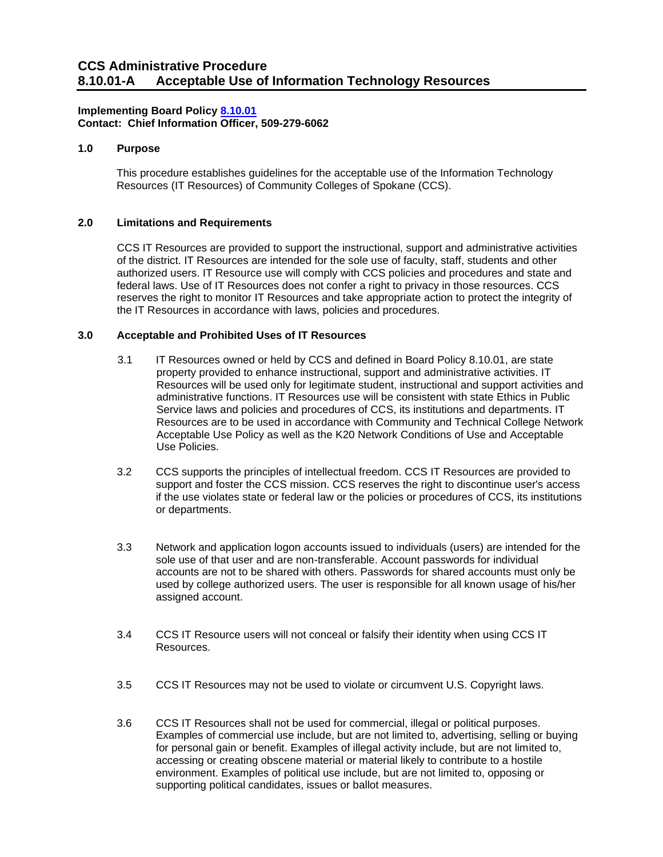# **Implementing Board Policy [8.10.01](https://ccs.spokane.edu/About-Us/Leadership/Board-of-Trustees/Policies-Procedures/Chapter8) Contact: Chief Information Officer, 509-279-6062**

# **1.0 Purpose**

This procedure establishes guidelines for the acceptable use of the Information Technology Resources (IT Resources) of Community Colleges of Spokane (CCS).

### **2.0 Limitations and Requirements**

CCS IT Resources are provided to support the instructional, support and administrative activities of the district. IT Resources are intended for the sole use of faculty, staff, students and other authorized users. IT Resource use will comply with CCS policies and procedures and state and federal laws. Use of IT Resources does not confer a right to privacy in those resources. CCS reserves the right to monitor IT Resources and take appropriate action to protect the integrity of the IT Resources in accordance with laws, policies and procedures.

### **3.0 Acceptable and Prohibited Uses of IT Resources**

- 3.1 IT Resources owned or held by CCS and defined in Board Policy 8.10.01, are state property provided to enhance instructional, support and administrative activities. IT Resources will be used only for legitimate student, instructional and support activities and administrative functions. IT Resources use will be consistent with state Ethics in Public Service laws and policies and procedures of CCS, its institutions and departments. IT Resources are to be used in accordance with Community and Technical College Network Acceptable Use Policy as well as the K20 Network Conditions of Use and Acceptable Use Policies.
- 3.2 CCS supports the principles of intellectual freedom. CCS IT Resources are provided to support and foster the CCS mission. CCS reserves the right to discontinue user's access if the use violates state or federal law or the policies or procedures of CCS, its institutions or departments.
- 3.3 Network and application logon accounts issued to individuals (users) are intended for the sole use of that user and are non-transferable. Account passwords for individual accounts are not to be shared with others. Passwords for shared accounts must only be used by college authorized users. The user is responsible for all known usage of his/her assigned account.
- 3.4 CCS IT Resource users will not conceal or falsify their identity when using CCS IT Resources.
- 3.5 CCS IT Resources may not be used to violate or circumvent U.S. Copyright laws.
- 3.6 CCS IT Resources shall not be used for commercial, illegal or political purposes. Examples of commercial use include, but are not limited to, advertising, selling or buying for personal gain or benefit. Examples of illegal activity include, but are not limited to, accessing or creating obscene material or material likely to contribute to a hostile environment. Examples of political use include, but are not limited to, opposing or supporting political candidates, issues or ballot measures.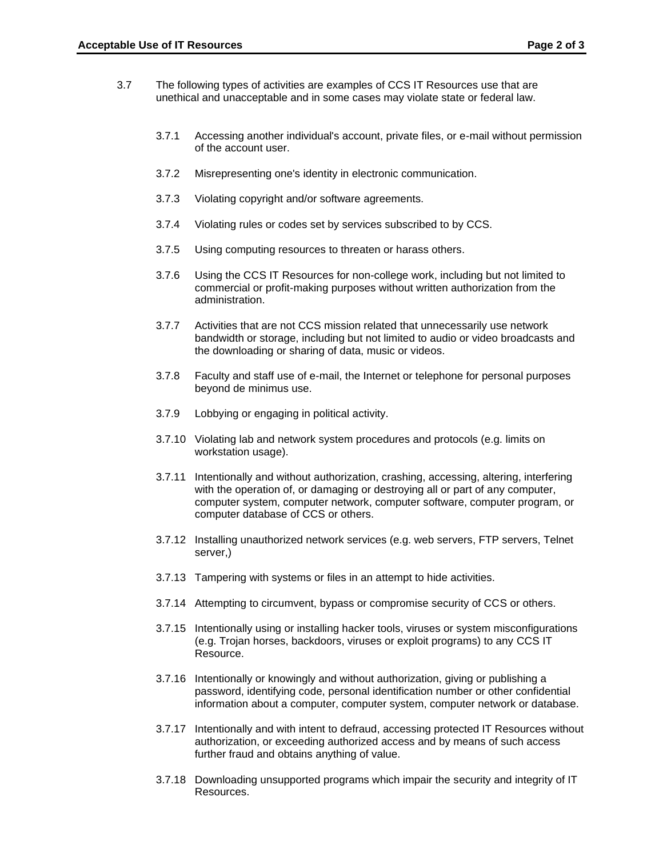- 3.7 The following types of activities are examples of CCS IT Resources use that are unethical and unacceptable and in some cases may violate state or federal law.
	- 3.7.1 Accessing another individual's account, private files, or e-mail without permission of the account user.
	- 3.7.2 Misrepresenting one's identity in electronic communication.
	- 3.7.3 Violating copyright and/or software agreements.
	- 3.7.4 Violating rules or codes set by services subscribed to by CCS.
	- 3.7.5 Using computing resources to threaten or harass others.
	- 3.7.6 Using the CCS IT Resources for non-college work, including but not limited to commercial or profit-making purposes without written authorization from the administration.
	- 3.7.7 Activities that are not CCS mission related that unnecessarily use network bandwidth or storage, including but not limited to audio or video broadcasts and the downloading or sharing of data, music or videos.
	- 3.7.8 Faculty and staff use of e-mail, the Internet or telephone for personal purposes beyond de minimus use.
	- 3.7.9 Lobbying or engaging in political activity.
	- 3.7.10 Violating lab and network system procedures and protocols (e.g. limits on workstation usage).
	- 3.7.11 Intentionally and without authorization, crashing, accessing, altering, interfering with the operation of, or damaging or destroying all or part of any computer, computer system, computer network, computer software, computer program, or computer database of CCS or others.
	- 3.7.12 Installing unauthorized network services (e.g. web servers, FTP servers, Telnet server,)
	- 3.7.13 Tampering with systems or files in an attempt to hide activities.
	- 3.7.14 Attempting to circumvent, bypass or compromise security of CCS or others.
	- 3.7.15 Intentionally using or installing hacker tools, viruses or system misconfigurations (e.g. Trojan horses, backdoors, viruses or exploit programs) to any CCS IT Resource.
	- 3.7.16 Intentionally or knowingly and without authorization, giving or publishing a password, identifying code, personal identification number or other confidential information about a computer, computer system, computer network or database.
	- 3.7.17 Intentionally and with intent to defraud, accessing protected IT Resources without authorization, or exceeding authorized access and by means of such access further fraud and obtains anything of value.
	- 3.7.18 Downloading unsupported programs which impair the security and integrity of IT Resources.